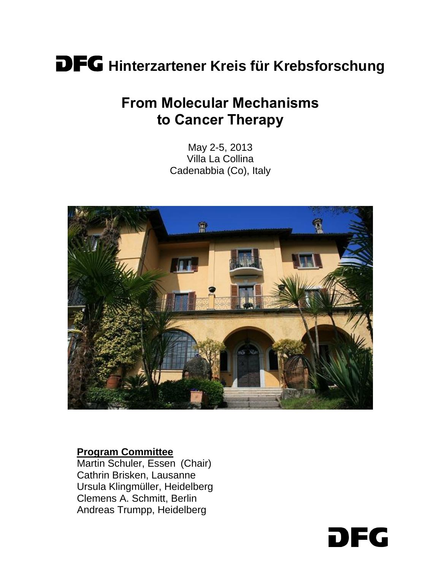# DFG **Hinterzartener Kreis für Krebsforschung**

# **From Molecular Mechanisms to Cancer Therapy**

May 2-5, 2013 Villa La Collina Cadenabbia (Co), Italy



#### **Program Committee**

Martin Schuler, Essen (Chair) Cathrin Brisken, Lausanne Ursula Klingmüller, Heidelberg Clemens A. Schmitt, Berlin Andreas Trumpp, Heidelberg

DFG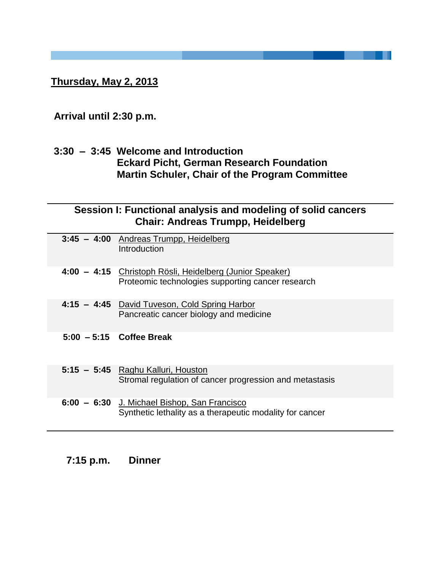**Thursday, May 2, 2013**

# **Arrival until 2:30 p.m.**

### **3:30 – 3:45 Welcome and Introduction Eckard Picht, German Research Foundation Martin Schuler, Chair of the Program Committee**

| Session I: Functional analysis and modeling of solid cancers |
|--------------------------------------------------------------|
| <b>Chair: Andreas Trumpp, Heidelberg</b>                     |

| 3:45 - 4:00 Andreas Trumpp, Heidelberg<br>Introduction                                                        |
|---------------------------------------------------------------------------------------------------------------|
| 4:00 - 4:15 Christoph Rösli, Heidelberg (Junior Speaker)<br>Proteomic technologies supporting cancer research |
| 4:15 - 4:45 David Tuveson, Cold Spring Harbor<br>Pancreatic cancer biology and medicine                       |
| $5:00 - 5:15$ Coffee Break                                                                                    |
| 5:15 - 5:45 Raghu Kalluri, Houston<br>Stromal regulation of cancer progression and metastasis                 |
| 6:00 - 6:30 J. Michael Bishop, San Francisco<br>Synthetic lethality as a therapeutic modality for cancer      |

| $7:15$ p.m. | <b>Dinner</b> |
|-------------|---------------|
|-------------|---------------|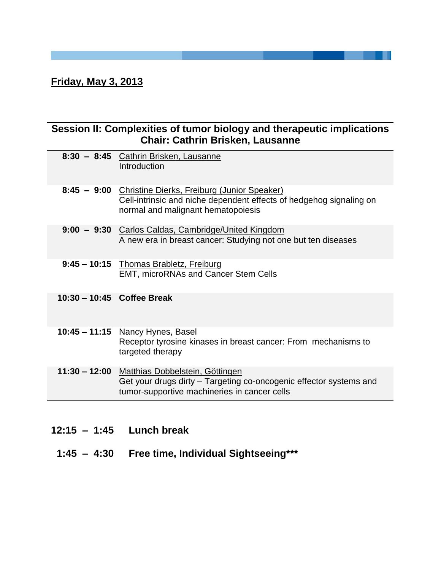# **Friday, May 3, 2013**

### **Session II: Complexities of tumor biology and therapeutic implications Chair: Cathrin Brisken, Lausanne**

| 8:30 - 8:45 Cathrin Brisken, Lausanne<br>Introduction                                                                                                                |
|----------------------------------------------------------------------------------------------------------------------------------------------------------------------|
| 8:45 - 9:00 Christine Dierks, Freiburg (Junior Speaker)<br>Cell-intrinsic and niche dependent effects of hedgehog signaling on<br>normal and malignant hematopoiesis |
| 9:00 - 9:30 Carlos Caldas, Cambridge/United Kingdom<br>A new era in breast cancer: Studying not one but ten diseases                                                 |
| 9:45 - 10:15 Thomas Brabletz, Freiburg<br>EMT, microRNAs and Cancer Stem Cells                                                                                       |
| $10:30 - 10:45$ Coffee Break                                                                                                                                         |
| 10:45 - 11:15 Nancy Hynes, Basel<br>Receptor tyrosine kinases in breast cancer: From mechanisms to<br>targeted therapy                                               |
| 11:30 - 12:00 Matthias Dobbelstein, Göttingen<br>Get your drugs dirty – Targeting co-oncogenic effector systems and<br>tumor-supportive machineries in cancer cells  |

| $12:15 - 1:45$ Lunch break |  |
|----------------------------|--|
|----------------------------|--|

 **1:45 – 4:30 Free time, Individual Sightseeing\*\*\***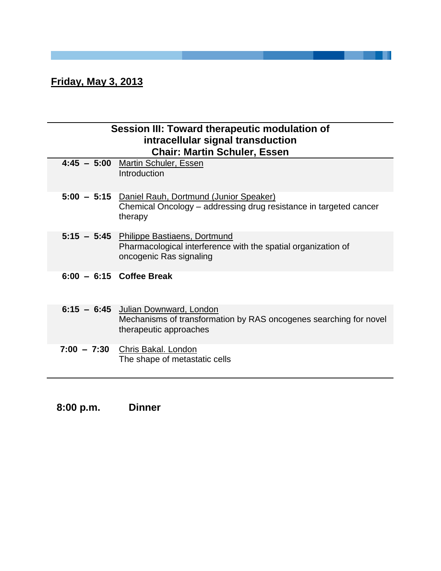# **Friday, May 3, 2013**

### **Session III: Toward therapeutic modulation of intracellular signal transduction Chair: Martin Schuler, Essen**

| 4:45 - 5:00 Martin Schuler, Essen<br>Introduction                                                                                    |
|--------------------------------------------------------------------------------------------------------------------------------------|
| 5:00 - 5:15 Daniel Rauh, Dortmund (Junior Speaker)<br>Chemical Oncology – addressing drug resistance in targeted cancer<br>therapy   |
| 5:15 - 5:45 Philippe Bastiaens, Dortmund<br>Pharmacological interference with the spatial organization of<br>oncogenic Ras signaling |
| $6:00 - 6:15$ Coffee Break                                                                                                           |
| 6:15 - 6:45 Julian Downward, London<br>Mechanisms of transformation by RAS oncogenes searching for novel<br>therapeutic approaches   |
| 7:00 - 7:30 Chris Bakal. London<br>The shape of metastatic cells                                                                     |

 **8:00 p.m. Dinner**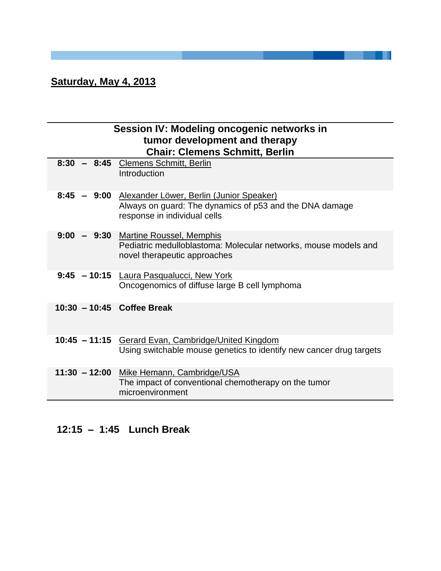# **Saturday, May 4, 2013**

|                            | Session IV: Modeling oncogenic networks in<br>tumor development and therapy<br><b>Chair: Clemens Schmitt, Berlin</b>                            |
|----------------------------|-------------------------------------------------------------------------------------------------------------------------------------------------|
|                            | 8:30 - 8:45 Clemens Schmitt, Berlin<br>Introduction                                                                                             |
|                            | 8:45 - 9:00 Alexander Löwer, Berlin (Junior Speaker)<br>Always on guard: The dynamics of p53 and the DNA damage<br>response in individual cells |
|                            | 9:00 - 9:30 Martine Roussel, Memphis<br>Pediatric medulloblastoma: Molecular networks, mouse models and<br>novel therapeutic approaches         |
|                            | 9:45 - 10:15 Laura Pasqualucci, New York<br>Oncogenomics of diffuse large B cell lymphoma                                                       |
| 10:30 - 10:45 Coffee Break |                                                                                                                                                 |
|                            | 10:45 - 11:15 Gerard Evan, Cambridge/United Kingdom<br>Using switchable mouse genetics to identify new cancer drug targets                      |
|                            | 11:30 - 12:00 Mike Hemann, Cambridge/USA<br>The impact of conventional chemotherapy on the tumor<br>microenvironment                            |

---

# **12:15 – 1:45 Lunch Break**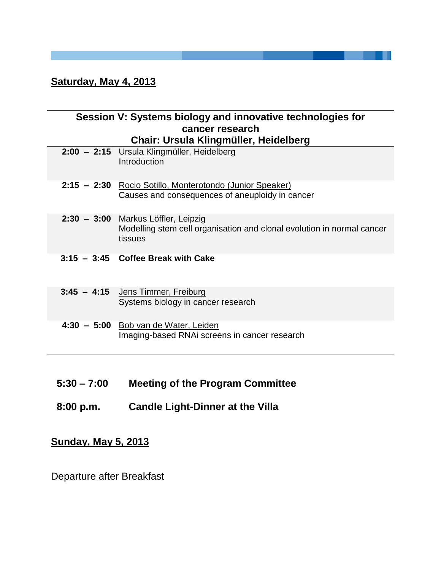### **Saturday, May 4, 2013**

#### **Session V: Systems biology and innovative technologies for cancer research Chair: Ursula Klingmüller, Heidelberg**

| 2:00 - 2:15 Ursula Klingmüller, Heidelberg<br>Introduction                                                               |
|--------------------------------------------------------------------------------------------------------------------------|
| 2:15 - 2:30 Rocio Sotillo, Monterotondo (Junior Speaker)<br>Causes and consequences of aneuploidy in cancer              |
| 2:30 - 3:00 Markus Löffler, Leipzig<br>Modelling stem cell organisation and clonal evolution in normal cancer<br>tissues |
| $3:15 - 3:45$ Coffee Break with Cake                                                                                     |
| 3:45 - 4:15 Jens Timmer, Freiburg<br>Systems biology in cancer research                                                  |
| $4:30 - 5:00$ Bob van de Water, Leiden<br>Imaging-based RNAi screens in cancer research                                  |

- **5:30 – 7:00 Meeting of the Program Committee**
- **8:00 p.m. Candle Light-Dinner at the Villa**

# **Sunday, May 5, 2013**

Departure after Breakfast